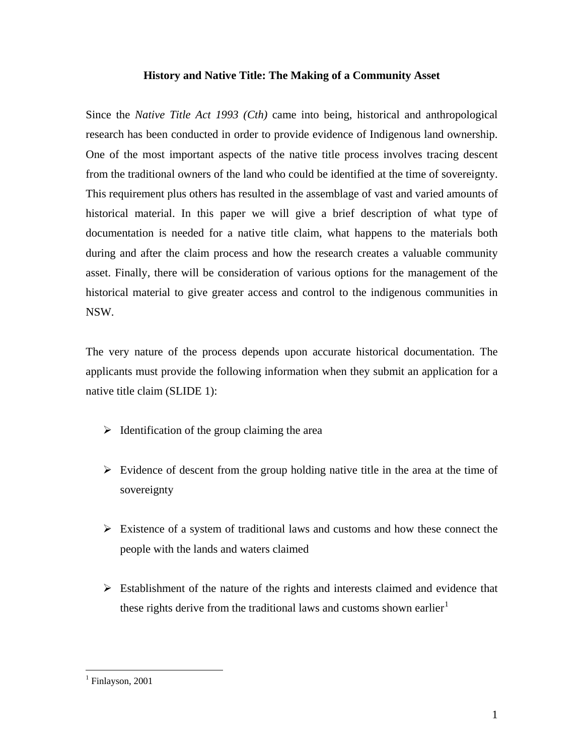## **History and Native Title: The Making of a Community Asset**

Since the *Native Title Act 1993 (Cth)* came into being, historical and anthropological research has been conducted in order to provide evidence of Indigenous land ownership. One of the most important aspects of the native title process involves tracing descent from the traditional owners of the land who could be identified at the time of sovereignty. This requirement plus others has resulted in the assemblage of vast and varied amounts of historical material. In this paper we will give a brief description of what type of documentation is needed for a native title claim, what happens to the materials both during and after the claim process and how the research creates a valuable community asset. Finally, there will be consideration of various options for the management of the historical material to give greater access and control to the indigenous communities in NSW.

The very nature of the process depends upon accurate historical documentation. The applicants must provide the following information when they submit an application for a native title claim (SLIDE 1):

- $\triangleright$  Identification of the group claiming the area
- $\triangleright$  Evidence of descent from the group holding native title in the area at the time of sovereignty
- $\triangleright$  Existence of a system of traditional laws and customs and how these connect the people with the lands and waters claimed
- $\triangleright$  Establishment of the nature of the rights and interests claimed and evidence that these rights derive from the traditional laws and customs shown earlier<sup>[1](#page-0-0)</sup>

<span id="page-0-0"></span><sup>&</sup>lt;sup>1</sup> Finlayson, 2001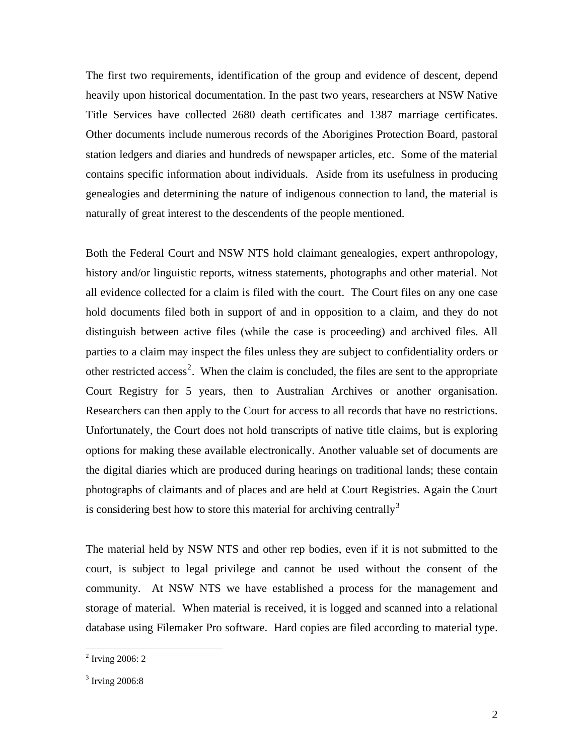The first two requirements, identification of the group and evidence of descent, depend heavily upon historical documentation. In the past two years, researchers at NSW Native Title Services have collected 2680 death certificates and 1387 marriage certificates. Other documents include numerous records of the Aborigines Protection Board, pastoral station ledgers and diaries and hundreds of newspaper articles, etc. Some of the material contains specific information about individuals. Aside from its usefulness in producing genealogies and determining the nature of indigenous connection to land, the material is naturally of great interest to the descendents of the people mentioned.

Both the Federal Court and NSW NTS hold claimant genealogies, expert anthropology, history and/or linguistic reports, witness statements, photographs and other material. Not all evidence collected for a claim is filed with the court. The Court files on any one case hold documents filed both in support of and in opposition to a claim, and they do not distinguish between active files (while the case is proceeding) and archived files. All parties to a claim may inspect the files unless they are subject to confidentiality orders or other restricted access<sup>[2](#page-1-0)</sup>. When the claim is concluded, the files are sent to the appropriate Court Registry for 5 years, then to Australian Archives or another organisation. Researchers can then apply to the Court for access to all records that have no restrictions. Unfortunately, the Court does not hold transcripts of native title claims, but is exploring options for making these available electronically. Another valuable set of documents are the digital diaries which are produced during hearings on traditional lands; these contain photographs of claimants and of places and are held at Court Registries. Again the Court is considering best how to store this material for archiving centrally  $3$ 

The material held by NSW NTS and other rep bodies, even if it is not submitted to the court, is subject to legal privilege and cannot be used without the consent of the community. At NSW NTS we have established a process for the management and storage of material. When material is received, it is logged and scanned into a relational database using Filemaker Pro software. Hard copies are filed according to material type.

<span id="page-1-0"></span> 2 Irving 2006: 2

<span id="page-1-1"></span><sup>&</sup>lt;sup>3</sup> Irving 2006:8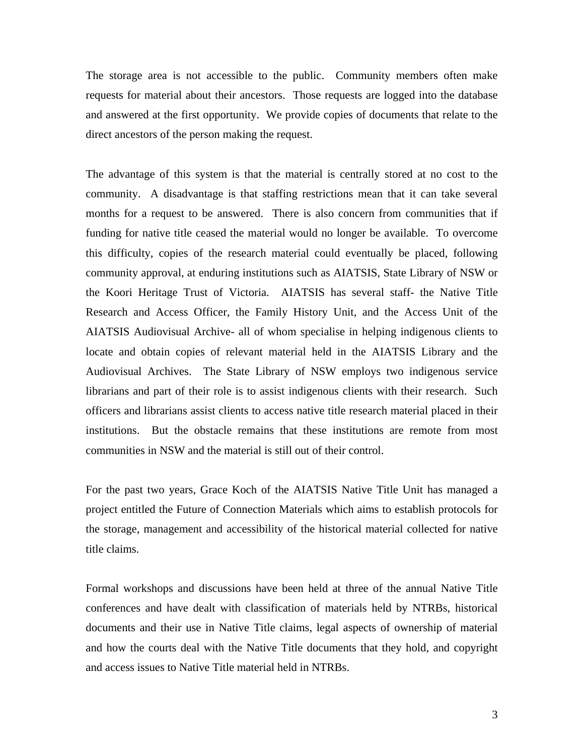The storage area is not accessible to the public. Community members often make requests for material about their ancestors. Those requests are logged into the database and answered at the first opportunity. We provide copies of documents that relate to the direct ancestors of the person making the request.

The advantage of this system is that the material is centrally stored at no cost to the community. A disadvantage is that staffing restrictions mean that it can take several months for a request to be answered. There is also concern from communities that if funding for native title ceased the material would no longer be available. To overcome this difficulty, copies of the research material could eventually be placed, following community approval, at enduring institutions such as AIATSIS, State Library of NSW or the Koori Heritage Trust of Victoria. AIATSIS has several staff- the Native Title Research and Access Officer, the Family History Unit, and the Access Unit of the AIATSIS Audiovisual Archive- all of whom specialise in helping indigenous clients to locate and obtain copies of relevant material held in the AIATSIS Library and the Audiovisual Archives. The State Library of NSW employs two indigenous service librarians and part of their role is to assist indigenous clients with their research. Such officers and librarians assist clients to access native title research material placed in their institutions. But the obstacle remains that these institutions are remote from most communities in NSW and the material is still out of their control.

For the past two years, Grace Koch of the AIATSIS Native Title Unit has managed a project entitled the Future of Connection Materials which aims to establish protocols for the storage, management and accessibility of the historical material collected for native title claims.

Formal workshops and discussions have been held at three of the annual Native Title conferences and have dealt with classification of materials held by NTRBs, historical documents and their use in Native Title claims, legal aspects of ownership of material and how the courts deal with the Native Title documents that they hold, and copyright and access issues to Native Title material held in NTRBs.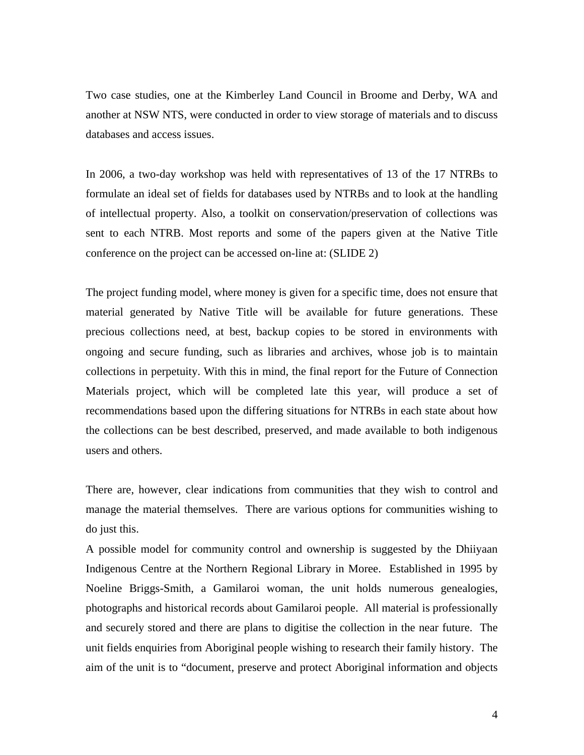Two case studies, one at the Kimberley Land Council in Broome and Derby, WA and another at NSW NTS, were conducted in order to view storage of materials and to discuss databases and access issues.

In 2006, a two-day workshop was held with representatives of 13 of the 17 NTRBs to formulate an ideal set of fields for databases used by NTRBs and to look at the handling of intellectual property. Also, a toolkit on conservation/preservation of collections was sent to each NTRB. Most reports and some of the papers given at the Native Title conference on the project can be accessed on-line at: (SLIDE 2)

The project funding model, where money is given for a specific time, does not ensure that material generated by Native Title will be available for future generations. These precious collections need, at best, backup copies to be stored in environments with ongoing and secure funding, such as libraries and archives, whose job is to maintain collections in perpetuity. With this in mind, the final report for the Future of Connection Materials project, which will be completed late this year, will produce a set of recommendations based upon the differing situations for NTRBs in each state about how the collections can be best described, preserved, and made available to both indigenous users and others.

There are, however, clear indications from communities that they wish to control and manage the material themselves. There are various options for communities wishing to do just this.

A possible model for community control and ownership is suggested by the Dhiiyaan Indigenous Centre at the Northern Regional Library in Moree. Established in 1995 by Noeline Briggs-Smith, a Gamilaroi woman, the unit holds numerous genealogies, photographs and historical records about Gamilaroi people. All material is professionally and securely stored and there are plans to digitise the collection in the near future. The unit fields enquiries from Aboriginal people wishing to research their family history. The aim of the unit is to "document, preserve and protect Aboriginal information and objects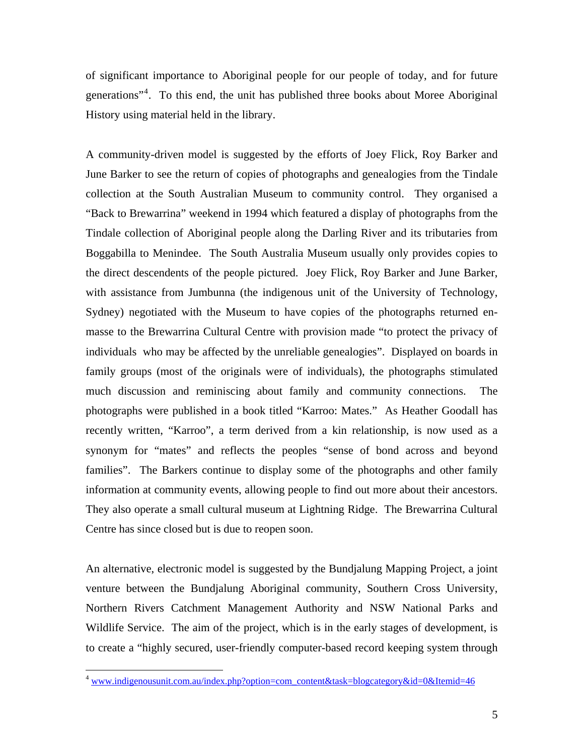of significant importance to Aboriginal people for our people of today, and for future generations"<sup>[4](#page-4-0)</sup>. To this end, the unit has published three books about Moree Aboriginal History using material held in the library.

A community-driven model is suggested by the efforts of Joey Flick, Roy Barker and June Barker to see the return of copies of photographs and genealogies from the Tindale collection at the South Australian Museum to community control. They organised a "Back to Brewarrina" weekend in 1994 which featured a display of photographs from the Tindale collection of Aboriginal people along the Darling River and its tributaries from Boggabilla to Menindee. The South Australia Museum usually only provides copies to the direct descendents of the people pictured. Joey Flick, Roy Barker and June Barker, with assistance from Jumbunna (the indigenous unit of the University of Technology, Sydney) negotiated with the Museum to have copies of the photographs returned enmasse to the Brewarrina Cultural Centre with provision made "to protect the privacy of individuals who may be affected by the unreliable genealogies". Displayed on boards in family groups (most of the originals were of individuals), the photographs stimulated much discussion and reminiscing about family and community connections. The photographs were published in a book titled "Karroo: Mates." As Heather Goodall has recently written, "Karroo", a term derived from a kin relationship, is now used as a synonym for "mates" and reflects the peoples "sense of bond across and beyond families". The Barkers continue to display some of the photographs and other family information at community events, allowing people to find out more about their ancestors. They also operate a small cultural museum at Lightning Ridge. The Brewarrina Cultural Centre has since closed but is due to reopen soon.

An alternative, electronic model is suggested by the Bundjalung Mapping Project, a joint venture between the Bundjalung Aboriginal community, Southern Cross University, Northern Rivers Catchment Management Authority and NSW National Parks and Wildlife Service. The aim of the project, which is in the early stages of development, is to create a "highly secured, user-friendly computer-based record keeping system through

<span id="page-4-0"></span><sup>&</sup>lt;sup>4</sup> [www.indigenousunit.com.au/index.php?option=com\\_content&task=blogcategory&id=0&Itemid=46](http://www.indigenousunit.com.au/index.php?option=com_content&task=blogcategory&id=0&Itemid=46)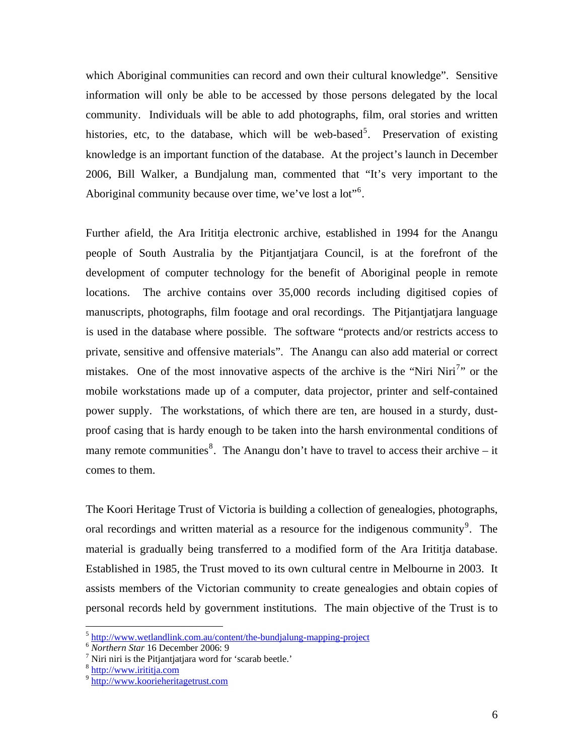which Aboriginal communities can record and own their cultural knowledge". Sensitive information will only be able to be accessed by those persons delegated by the local community. Individuals will be able to add photographs, film, oral stories and written histories, etc, to the database, which will be web-based<sup>[5](#page-5-0)</sup>. Preservation of existing knowledge is an important function of the database. At the project's launch in December 2006, Bill Walker, a Bundjalung man, commented that "It's very important to the Aboriginal community because over time, we've lost a lot"<sup>[6](#page-5-1)</sup>.

Further afield, the Ara Irititja electronic archive, established in 1994 for the Anangu people of South Australia by the Pitjantjatjara Council, is at the forefront of the development of computer technology for the benefit of Aboriginal people in remote locations. The archive contains over 35,000 records including digitised copies of manuscripts, photographs, film footage and oral recordings. The Pitjantjatjara language is used in the database where possible. The software "protects and/or restricts access to private, sensitive and offensive materials". The Anangu can also add material or correct mistakes. One of the most innovative aspects of the archive is the "Niri Niri<sup>[7](#page-5-2)</sup>" or the mobile workstations made up of a computer, data projector, printer and self-contained power supply. The workstations, of which there are ten, are housed in a sturdy, dustproof casing that is hardy enough to be taken into the harsh environmental conditions of many remote communities<sup>[8](#page-5-3)</sup>. The Anangu don't have to travel to access their archive – it comes to them.

The Koori Heritage Trust of Victoria is building a collection of genealogies, photographs, oral recordings and written material as a resource for the indigenous community $9$ . The material is gradually being transferred to a modified form of the Ara Irititja database. Established in 1985, the Trust moved to its own cultural centre in Melbourne in 2003. It assists members of the Victorian community to create genealogies and obtain copies of personal records held by government institutions. The main objective of the Trust is to

1

<span id="page-5-0"></span><sup>&</sup>lt;sup>5</sup> <http://www.wetlandlink.com.au/content/the-bundjalung-mapping-project><sup>6</sup> *Northern Star* 16 December 2006: 9

<span id="page-5-3"></span><span id="page-5-2"></span><span id="page-5-1"></span><sup>&</sup>lt;sup>7</sup> Niri niri is the Pitjantjatjara word for 'scarab beetle.'  $8 \frac{\text{http://www.irititja.com}}{$ 

<span id="page-5-4"></span><sup>&</sup>lt;sup>9</sup> http://www.koorieheritagetrust.com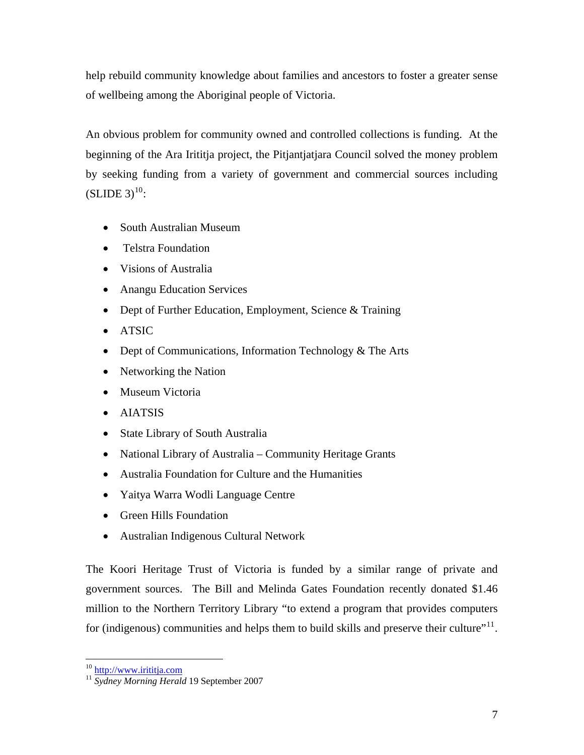help rebuild community knowledge about families and ancestors to foster a greater sense of wellbeing among the Aboriginal people of Victoria.

An obvious problem for community owned and controlled collections is funding. At the beginning of the Ara Irititja project, the Pitjantjatjara Council solved the money problem by seeking funding from a variety of government and commercial sources including  $(SLIDE 3)^{10}$  $(SLIDE 3)^{10}$  $(SLIDE 3)^{10}$ :

- South Australian Museum
- Telstra Foundation
- Visions of Australia
- Anangu Education Services
- Dept of Further Education, Employment, Science & Training
- ATSIC
- Dept of Communications, Information Technology & The Arts
- Networking the Nation
- Museum Victoria
- AIATSIS
- State Library of South Australia
- National Library of Australia Community Heritage Grants
- Australia Foundation for Culture and the Humanities
- Yaitya Warra Wodli Language Centre
- Green Hills Foundation
- Australian Indigenous Cultural Network

The Koori Heritage Trust of Victoria is funded by a similar range of private and government sources. The Bill and Melinda Gates Foundation recently donated \$1.46 million to the Northern Territory Library "to extend a program that provides computers for (indigenous) communities and helps them to build skills and preserve their culture" $11$ .

<sup>1</sup> 

<span id="page-6-1"></span><span id="page-6-0"></span><sup>&</sup>lt;sup>10</sup> [http://www.irititja.com](http://www.irititja.com/)<br><sup>11</sup> *Sydney Morning Herald* 19 September 2007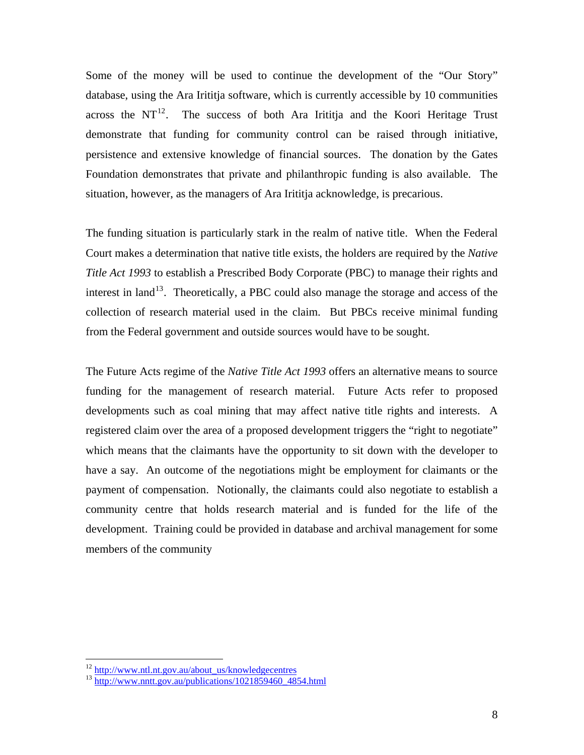Some of the money will be used to continue the development of the "Our Story" database, using the Ara Irititja software, which is currently accessible by 10 communities across the  $NT^{12}$  $NT^{12}$  $NT^{12}$ . The success of both Ara Irititia and the Koori Heritage Trust demonstrate that funding for community control can be raised through initiative, persistence and extensive knowledge of financial sources. The donation by the Gates Foundation demonstrates that private and philanthropic funding is also available. The situation, however, as the managers of Ara Irititja acknowledge, is precarious.

The funding situation is particularly stark in the realm of native title. When the Federal Court makes a determination that native title exists, the holders are required by the *Native Title Act 1993* to establish a Prescribed Body Corporate (PBC) to manage their rights and interest in land<sup>[13](#page-7-1)</sup>. Theoretically, a PBC could also manage the storage and access of the collection of research material used in the claim. But PBCs receive minimal funding from the Federal government and outside sources would have to be sought.

The Future Acts regime of the *Native Title Act 1993* offers an alternative means to source funding for the management of research material. Future Acts refer to proposed developments such as coal mining that may affect native title rights and interests. A registered claim over the area of a proposed development triggers the "right to negotiate" which means that the claimants have the opportunity to sit down with the developer to have a say. An outcome of the negotiations might be employment for claimants or the payment of compensation. Notionally, the claimants could also negotiate to establish a community centre that holds research material and is funded for the life of the development. Training could be provided in database and archival management for some members of the community

<span id="page-7-1"></span><span id="page-7-0"></span><sup>&</sup>lt;sup>12</sup> [http://www.ntl.nt.gov.au/about\\_us/knowledgecentres](http://www.ntl.nt.gov.au/about_us/knowledgecentres)  $13 \frac{\text{http://www.nntt.gov.au/bubications/1021859460} \cdot 4854. \text{html}}{24854.4854.4666}$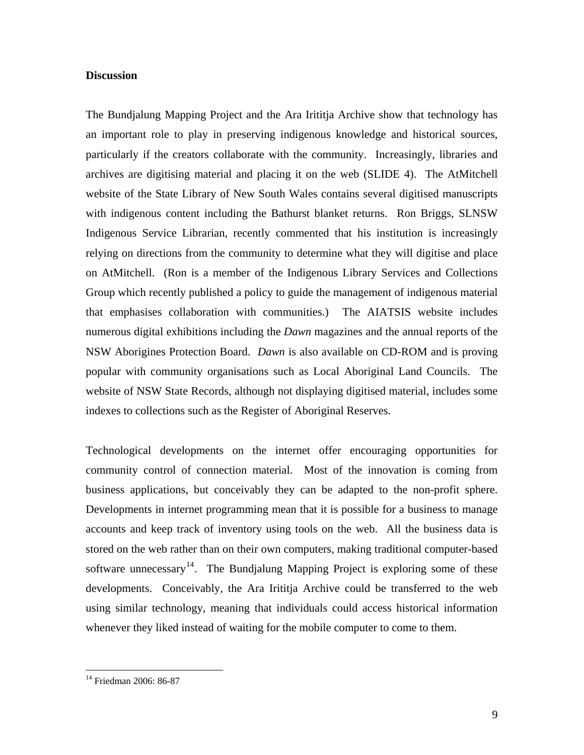## **Discussion**

The Bundjalung Mapping Project and the Ara Irititja Archive show that technology has an important role to play in preserving indigenous knowledge and historical sources, particularly if the creators collaborate with the community. Increasingly, libraries and archives are digitising material and placing it on the web (SLIDE 4). The AtMitchell website of the State Library of New South Wales contains several digitised manuscripts with indigenous content including the Bathurst blanket returns. Ron Briggs, SLNSW Indigenous Service Librarian, recently commented that his institution is increasingly relying on directions from the community to determine what they will digitise and place on AtMitchell. (Ron is a member of the Indigenous Library Services and Collections Group which recently published a policy to guide the management of indigenous material that emphasises collaboration with communities.) The AIATSIS website includes numerous digital exhibitions including the *Dawn* magazines and the annual reports of the NSW Aborigines Protection Board. *Dawn* is also available on CD-ROM and is proving popular with community organisations such as Local Aboriginal Land Councils. The website of NSW State Records, although not displaying digitised material, includes some indexes to collections such as the Register of Aboriginal Reserves.

Technological developments on the internet offer encouraging opportunities for community control of connection material. Most of the innovation is coming from business applications, but conceivably they can be adapted to the non-profit sphere. Developments in internet programming mean that it is possible for a business to manage accounts and keep track of inventory using tools on the web. All the business data is stored on the web rather than on their own computers, making traditional computer-based software unnecessary<sup>[14](#page-8-0)</sup>. The Bundjalung Mapping Project is exploring some of these developments. Conceivably, the Ara Irititja Archive could be transferred to the web using similar technology, meaning that individuals could access historical information whenever they liked instead of waiting for the mobile computer to come to them.

<span id="page-8-0"></span><sup>&</sup>lt;sup>14</sup> Friedman 2006: 86-87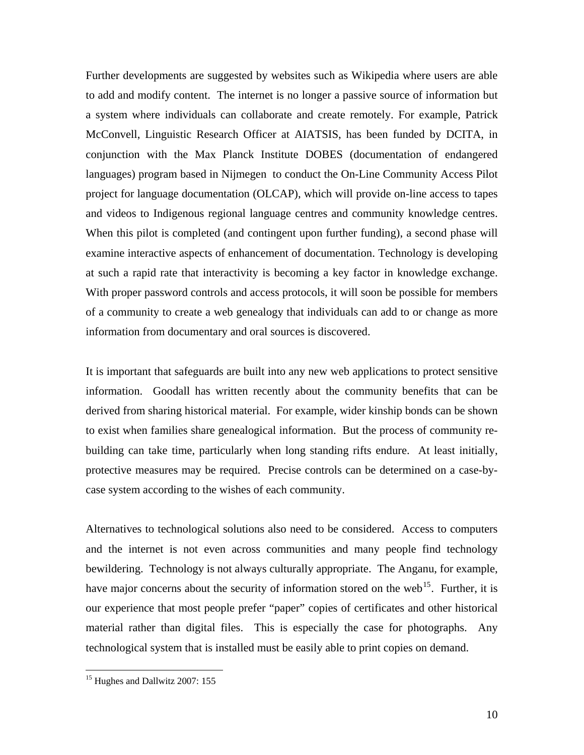Further developments are suggested by websites such as Wikipedia where users are able to add and modify content. The internet is no longer a passive source of information but a system where individuals can collaborate and create remotely. For example, Patrick McConvell, Linguistic Research Officer at AIATSIS, has been funded by DCITA, in conjunction with the Max Planck Institute DOBES (documentation of endangered languages) program based in Nijmegen to conduct the On-Line Community Access Pilot project for language documentation (OLCAP), which will provide on-line access to tapes and videos to Indigenous regional language centres and community knowledge centres. When this pilot is completed (and contingent upon further funding), a second phase will examine interactive aspects of enhancement of documentation. Technology is developing at such a rapid rate that interactivity is becoming a key factor in knowledge exchange. With proper password controls and access protocols, it will soon be possible for members of a community to create a web genealogy that individuals can add to or change as more information from documentary and oral sources is discovered.

It is important that safeguards are built into any new web applications to protect sensitive information. Goodall has written recently about the community benefits that can be derived from sharing historical material. For example, wider kinship bonds can be shown to exist when families share genealogical information. But the process of community rebuilding can take time, particularly when long standing rifts endure. At least initially, protective measures may be required. Precise controls can be determined on a case-bycase system according to the wishes of each community.

Alternatives to technological solutions also need to be considered. Access to computers and the internet is not even across communities and many people find technology bewildering. Technology is not always culturally appropriate. The Anganu, for example, have major concerns about the security of information stored on the web<sup>[15](#page-9-0)</sup>. Further, it is our experience that most people prefer "paper" copies of certificates and other historical material rather than digital files. This is especially the case for photographs. Any technological system that is installed must be easily able to print copies on demand.

<span id="page-9-0"></span><sup>&</sup>lt;sup>15</sup> Hughes and Dallwitz 2007: 155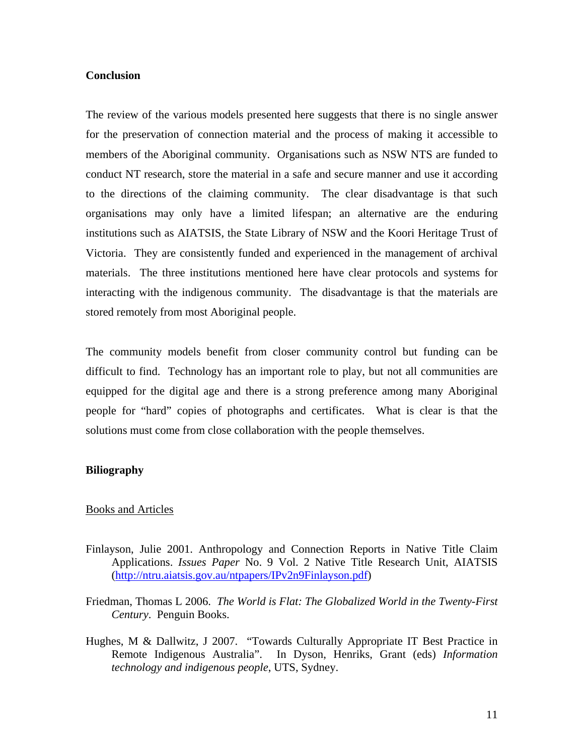## **Conclusion**

The review of the various models presented here suggests that there is no single answer for the preservation of connection material and the process of making it accessible to members of the Aboriginal community. Organisations such as NSW NTS are funded to conduct NT research, store the material in a safe and secure manner and use it according to the directions of the claiming community. The clear disadvantage is that such organisations may only have a limited lifespan; an alternative are the enduring institutions such as AIATSIS, the State Library of NSW and the Koori Heritage Trust of Victoria. They are consistently funded and experienced in the management of archival materials. The three institutions mentioned here have clear protocols and systems for interacting with the indigenous community. The disadvantage is that the materials are stored remotely from most Aboriginal people.

The community models benefit from closer community control but funding can be difficult to find. Technology has an important role to play, but not all communities are equipped for the digital age and there is a strong preference among many Aboriginal people for "hard" copies of photographs and certificates. What is clear is that the solutions must come from close collaboration with the people themselves.

# **Biliography**

#### Books and Articles

- Finlayson, Julie 2001. Anthropology and Connection Reports in Native Title Claim Applications. *Issues Paper* No. 9 Vol. 2 Native Title Research Unit, AIATSIS ([http://ntru.aiatsis.gov.au/ntpapers/IPv2n9Finlayson.pdf\)](http://ntru.aiatsis.gov.au/ntpapers/IPv2n9Finlayson.pdf)
- Friedman, Thomas L 2006. *The World is Flat: The Globalized World in the Twenty-First Century*. Penguin Books.
- Hughes, M & Dallwitz, J 2007. "Towards Culturally Appropriate IT Best Practice in Remote Indigenous Australia". In Dyson, Henriks, Grant (eds) *Information technology and indigenous people*, UTS, Sydney.